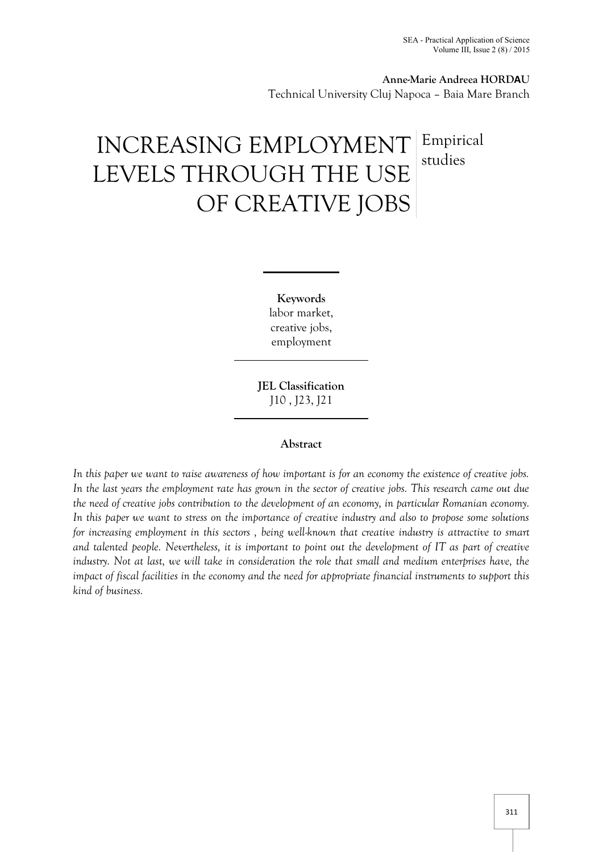**Anne-Marie Andreea HORDAU** Technical University Cluj Napoca – Baia Mare Branch

# INCREASING EMPLOYMENT LEVELS THROUGH THE USE OF CREATIVE JOBS Empirical studies

**Keywords** labor market, creative jobs, employment

**JEL Classification** J10 , J23, J21

#### **Abstract**

*In this paper we want to raise awareness of how important is for an economy the existence of creative jobs. In the last years the employment rate has grown in the sector of creative jobs. This research came out due the need of creative jobs contribution to the development of an economy, in particular Romanian economy. In this paper we want to stress on the importance of creative industry and also to propose some solutions for increasing employment in this sectors , being well-known that creative industry is attractive to smart and talented people. Nevertheless, it is important to point out the development of IT as part of creative industry. Not at last, we will take in consideration the role that small and medium enterprises have, the impact of fiscal facilities in the economy and the need for appropriate financial instruments to support this kind of business.*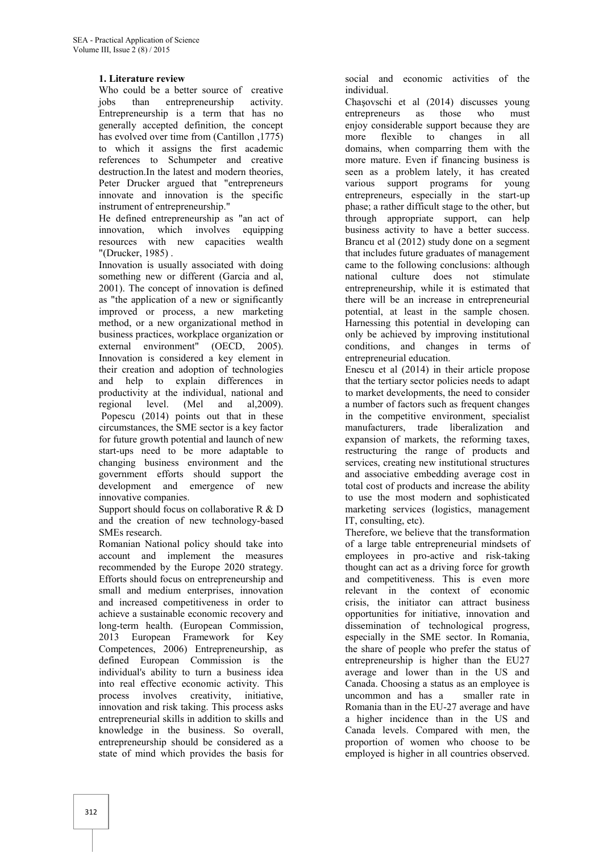## **1. Literature review**

Who could be a better source of creative jobs than entrepreneurship activity. Entrepreneurship is a term that has no generally accepted definition, the concept has evolved over time from (Cantillon , 1775) to which it assigns the first academic references to Schumpeter and creative destruction.In the latest and modern theories, Peter Drucker argued that "entrepreneurs innovate and innovation is the specific instrument of entrepreneurship."

He defined entrepreneurship as "an act of innovation, which involves equipping resources with new capacities wealth "(Drucker, 1985) .

Innovation is usually associated with doing something new or different (Garcia and al, 2001). The concept of innovation is defined as "the application of a new or significantly improved or process, a new marketing method, or a new organizational method in business practices, workplace organization or external environment" (OECD, 2005). Innovation is considered a key element in their creation and adoption of technologies and help to explain differences in productivity at the individual, national and<br>regional level. (Mel and al.2009). regional level. (Mel and al,2009). Popescu (2014) points out that in these circumstances, the SME sector is a key factor for future growth potential and launch of new start-ups need to be more adaptable to changing business environment and the government efforts should support the development and emergence of new innovative companies.

Support should focus on collaborative R & D and the creation of new technology-based SMEs research.

Romanian National policy should take into account and implement the measures recommended by the Europe 2020 strategy. Efforts should focus on entrepreneurship and small and medium enterprises, innovation and increased competitiveness in order to achieve a sustainable economic recovery and long-term health. (European Commission, 2013 European Framework for Key Competences, 2006) Entrepreneurship, as defined European Commission is the individual's ability to turn a business idea into real effective economic activity. This process involves creativity, initiative, innovation and risk taking. This process asks entrepreneurial skills in addition to skills and knowledge in the business. So overall, entrepreneurship should be considered as a state of mind which provides the basis for

social and economic activities of the individual.

Chaşovschi et al (2014) discusses young entrepreneurs as those who must enjoy considerable support because they are more flexible to changes in all domains, when comparring them with the more mature. Even if financing business is seen as a problem lately, it has created various support programs for young entrepreneurs, especially in the start-up phase; a rather difficult stage to the other, but through appropriate support, can help business activity to have a better success. Brancu et al (2012) study done on a segment that includes future graduates of management came to the following conclusions: although national culture does not stimulate entrepreneurship, while it is estimated that there will be an increase in entrepreneurial potential, at least in the sample chosen. Harnessing this potential in developing can only be achieved by improving institutional conditions, and changes in terms of entrepreneurial education.

Enescu et al (2014) in their article propose that the tertiary sector policies needs to adapt to market developments, the need to consider a number of factors such as frequent changes in the competitive environment, specialist manufacturers, trade liberalization and expansion of markets, the reforming taxes, restructuring the range of products and services, creating new institutional structures and associative embedding average cost in total cost of products and increase the ability to use the most modern and sophisticated marketing services (logistics, management IT, consulting, etc).

Therefore, we believe that the transformation of a large table entrepreneurial mindsets of employees in pro-active and risk-taking thought can act as a driving force for growth and competitiveness. This is even more relevant in the context of economic crisis, the initiator can attract business opportunities for initiative, innovation and dissemination of technological progress, especially in the SME sector. In Romania, the share of people who prefer the status of entrepreneurship is higher than the EU27 average and lower than in the US and Canada. Choosing a status as an employee is uncommon and has a smaller rate in Romania than in the EU-27 average and have a higher incidence than in the US and Canada levels. Compared with men, the proportion of women who choose to be employed is higher in all countries observed.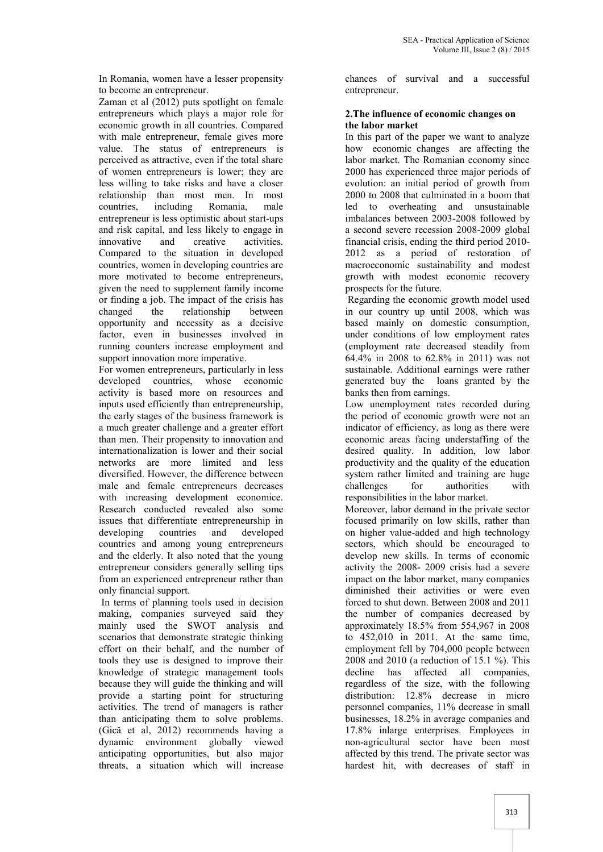In Romania, women have a lesser propensity to become an entrepreneur.

Zaman et al (2012) puts spotlight on female entrepreneurs which plays a major role for economic growth in all countries. Compared with male entrepreneur, female gives more value. The status of entrepreneurs is perceived as attractive, even if the total share of women entrepreneurs is lower; they are less willing to take risks and have a closer relationship than most men. In most countries, including Romania, male entrepreneur is less optimistic about start-ups and risk capital, and less likely to engage in innovative and creative activities. Compared to the situation in developed countries, women in developing countries are more motivated to become entrepreneurs, given the need to supplement family income or finding a job. The impact of the crisis has changed the relationship between opportunity and necessity as a decisive factor, even in businesses involved in running counters increase employment and support innovation more imperative.

For women entrepreneurs, particularly in less developed countries, whose economic activity is based more on resources and inputs used efficiently than entrepreneurship, the early stages of the business framework is a much greater challenge and a greater effort than men. Their propensity to innovation and internationalization is lower and their social networks are more limited and less diversified. However, the difference between male and female entrepreneurs decreases with increasing development economice. Research conducted revealed also some issues that differentiate entrepreneurship in developing countries and developed countries and among young entrepreneurs and the elderly. It also noted that the young entrepreneur considers generally selling tips from an experienced entrepreneur rather than only financial support.

In terms of planning tools used in decision making, companies surveyed said they mainly used the SWOT analysis and scenarios that demonstrate strategic thinking effort on their behalf, and the number of tools they use is designed to improve their knowledge of strategic management tools because they will guide the thinking and will provide a starting point for structuring activities. The trend of managers is rather than anticipating them to solve problems. (Gică et al, 2012) recommends having a dynamic environment globally viewed anticipating opportunities, but also major threats, a situation which will increase

chances of survival and a successful entrepreneur.

#### **2.The influence of economic changes on the labor market**

In this part of the paper we want to analyze how economic changes are affecting the labor market. The Romanian economy since 2000 has experienced three major periods of evolution: an initial period of growth from 2000 to 2008 that culminated in a boom that led to overheating and unsustainable imbalances between 2003-2008 followed by a second severe recession 2008-2009 global financial crisis, ending the third period 2010- 2012 as a period of restoration of macroeconomic sustainability and modest growth with modest economic recovery prospects for the future.

Regarding the economic growth model used in our country up until 2008, which was based mainly on domestic consumption, under conditions of low employment rates (employment rate decreased steadily from 64.4% in 2008 to 62.8% in 2011) was not sustainable. Additional earnings were rather generated buy the loans granted by the banks then from earnings.

Low unemployment rates recorded during the period of economic growth were not an indicator of efficiency, as long as there were economic areas facing understaffing of the desired quality. In addition, low labor productivity and the quality of the education system rather limited and training are huge challenges for authorities with responsibilities in the labor market.

Moreover, labor demand in the private sector focused primarily on low skills, rather than on higher value-added and high technology sectors, which should be encouraged to develop new skills. In terms of economic activity the 2008- 2009 crisis had a severe impact on the labor market, many companies diminished their activities or were even forced to shut down. Between 2008 and 2011 the number of companies decreased by approximately 18.5% from 554,967 in 2008 to 452,010 in 2011. At the same time, employment fell by 704,000 people between 2008 and 2010 (a reduction of 15.1 %). This decline has affected all companies, regardless of the size, with the following distribution: 12.8% decrease in micro personnel companies, 11% decrease in small businesses, 18.2% in average companies and 17.8% inlarge enterprises. Employees in non-agricultural sector have been most affected by this trend. The private sector was hardest hit, with decreases of staff in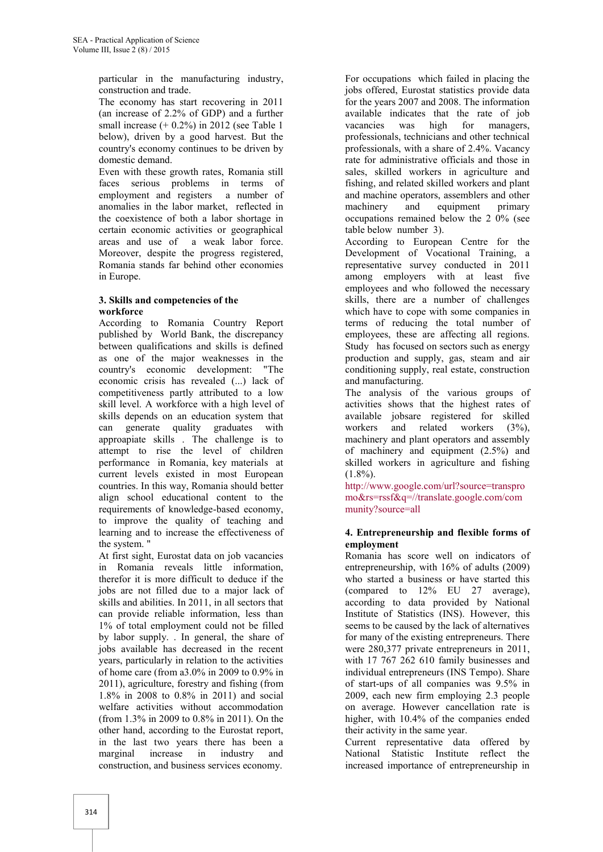particular in the manufacturing industry, construction and trade.

The economy has start recovering in 2011 (an increase of 2.2% of GDP) and a further small increase  $(+ 0.2%)$  in 2012 (see Table 1 below), driven by a good harvest. But the country's economy continues to be driven by domestic demand.

Even with these growth rates, Romania still faces serious problems in terms of employment and registers a number of anomalies in the labor market, reflected in the coexistence of both a labor shortage in certain economic activities or geographical areas and use of a weak labor force. Moreover, despite the progress registered, Romania stands far behind other economies in Europe.

#### **3. Skills and competencies of the workforce**

According to Romania Country Report published by World Bank, the discrepancy between qualifications and skills is defined as one of the major weaknesses in the country's economic development: "The economic crisis has revealed (...) lack of competitiveness partly attributed to a low skill level. A workforce with a high level of skills depends on an education system that can generate quality graduates with approapiate skills . The challenge is to attempt to rise the level of children performance in Romania, key materials at current levels existed in most European countries. In this way, Romania should better align school educational content to the requirements of knowledge-based economy, to improve the quality of teaching and learning and to increase the effectiveness of the system. "

At first sight, Eurostat data on job vacancies in Romania reveals little information, therefor it is more difficult to deduce if the jobs are not filled due to a major lack of skills and abilities. In 2011, in all sectors that can provide reliable information, less than 1% of total employment could not be filled by labor supply. . In general, the share of jobs available has decreased in the recent years, particularly in relation to the activities of home care (from a3.0% in 2009 to 0.9% in 2011), agriculture, forestry and fishing (from 1.8% in 2008 to 0.8% in 2011) and social welfare activities without accommodation (from 1.3% in 2009 to 0.8% in 2011). On the other hand, according to the Eurostat report, in the last two years there has been a marginal increase in industry and construction, and business services economy.

For occupations which failed in placing the jobs offered, Eurostat statistics provide data for the years 2007 and 2008. The information available indicates that the rate of job vacancies was high for managers, professionals, technicians and other technical professionals, with a share of 2.4%. Vacancy rate for administrative officials and those in sales, skilled workers in agriculture and fishing, and related skilled workers and plant and machine operators, assemblers and other machinery and equipment primary occupations remained below the 2 0% (see table below number 3).

According to European Centre for the Development of Vocational Training, a representative survey conducted in 2011 among employers with at least five employees and who followed the necessary skills, there are a number of challenges which have to cope with some companies in terms of reducing the total number of employees, these are affecting all regions. Study has focused on sectors such as energy production and supply, gas, steam and air conditioning supply, real estate, construction and manufacturing.

The analysis of the various groups of activities shows that the highest rates of available jobsare registered for skilled workers and related workers (3%), machinery and plant operators and assembly of machinery and equipment (2.5%) and skilled workers in agriculture and fishing  $(1.8\%)$ .

http://www.google.com/url?source=transpro mo&rs=rssf&q=//translate.google.com/com munity?source=all

## **4. Entrepreneurship and flexible forms of employment**

Romania has score well on indicators of entrepreneurship, with 16% of adults (2009) who started a business or have started this (compared to 12% EU 27 average), according to data provided by National Institute of Statistics (INS). However, this seems to be caused by the lack of alternatives for many of the existing entrepreneurs. There were 280,377 private entrepreneurs in 2011, with 17 767 262 610 family businesses and individual entrepreneurs (INS Tempo). Share of start-ups of all companies was 9.5% in 2009, each new firm employing 2.3 people on average. However cancellation rate is higher, with 10.4% of the companies ended their activity in the same year.

Current representative data offered by National Statistic Institute reflect the increased importance of entrepreneurship in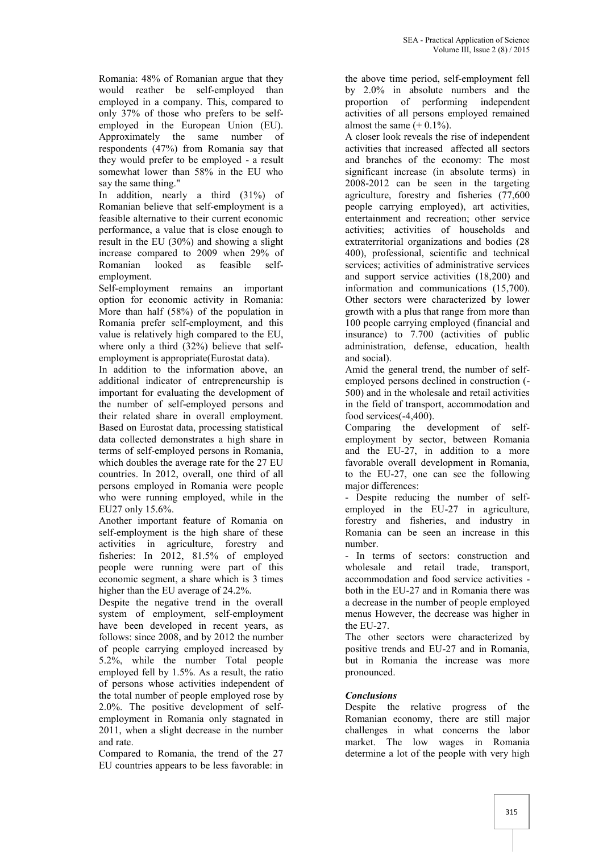Romania: 48% of Romanian argue that they would reather be self-employed than employed in a company. This, compared to only 37% of those who prefers to be self employed in the European Union (EU). Approximately the same number of respondents (47%) from Romania say that they would prefer to be employed - a result somewhat lower than 58% in the EU who say the same thing."

In addition, nearly a third (31%) of Romanian believe that self-employment is a feasible alternative to their current economic performance, a value that is close enough to result in the EU (30%) and showing a slight increase compared to 2009 when 29% of Romanian looked as feasible self employment.

Self-employment remains an important option for economic activity in Romania: More than half (58%) of the population in Romania prefer self-employment, and this value is relatively high compared to the EU, where only a third (32%) believe that selfemployment is appropriate(Eurostat data).

In addition to the information above, an additional indicator of entrepreneurship is important for evaluating the development of the number of self-employed persons and their related share in overall employment. Based on Eurostat data, processing statistical data collected demonstrates a high share in terms of self-employed persons in Romania, which doubles the average rate for the 27 EU countries. In 2012, overall, one third of all persons employed in Romania were people who were running employed, while in the EU27 only 15.6%.

Another important feature of Romania on self-employment is the high share of these activities in agriculture, forestry and fisheries: In 2012, 81.5% of employed people were running were part of this economic segment, a share which is 3 times higher than the EU average of 24.2%.

Despite the negative trend in the overall system of employment, self-employment have been developed in recent years, as follows: since 2008, and by 2012 the number of people carrying employed increased by 5.2%, while the number Total people employed fell by 1.5%. As a result, the ratio of persons whose activities independent of the total number of people employed rose by 2.0%. The positive development of self employment in Romania only stagnated in 2011, when a slight decrease in the number and rate.

Compared to Romania, the trend of the 27 EU countries appears to be less favorable: in the above time period, self-employment fell by 2.0% in absolute numbers and the proportion of performing independent activities of all persons employed remained almost the same  $(+ 0.1\%)$ .

A closer look reveals the rise of independent activities that increased affected all sectors and branches of the economy: The most significant increase (in absolute terms) in 2008-2012 can be seen in the targeting agriculture, forestry and fisheries (77,600 people carrying employed), art activities, entertainment and recreation; other service activities; activities of households and extraterritorial organizations and bodies (28 400), professional, scientific and technical services; activities of administrative services and support service activities (18,200) and information and communications (15,700). Other sectors were characterized by lower growth with a plus that range from more than 100 people carrying employed (financial and insurance) to 7.700 (activities of public administration, defense, education, health and social).

Amid the general trend, the number of self employed persons declined in construction (- 500) and in the wholesale and retail activities in the field of transport, accommodation and food services(-4,400).

Comparing the development of self employment by sector, between Romania and the EU-27, in addition to a more favorable overall development in Romania, to the EU-27, one can see the following major differences:

- Despite reducing the number of self employed in the EU-27 in agriculture, forestry and fisheries, and industry in Romania can be seen an increase in this number.

- In terms of sectors: construction and wholesale and retail trade, transport, accommodation and food service activities both in the EU-27 and in Romania there was a decrease in the number of people employed menus However, the decrease was higher in the EU-27.

The other sectors were characterized by positive trends and EU-27 and in Romania, but in Romania the increase was more pronounced.

# *Conclusions*

Despite the relative progress of the Romanian economy, there are still major challenges in what concerns the labor market. The low wages in Romania determine a lot of the people with very high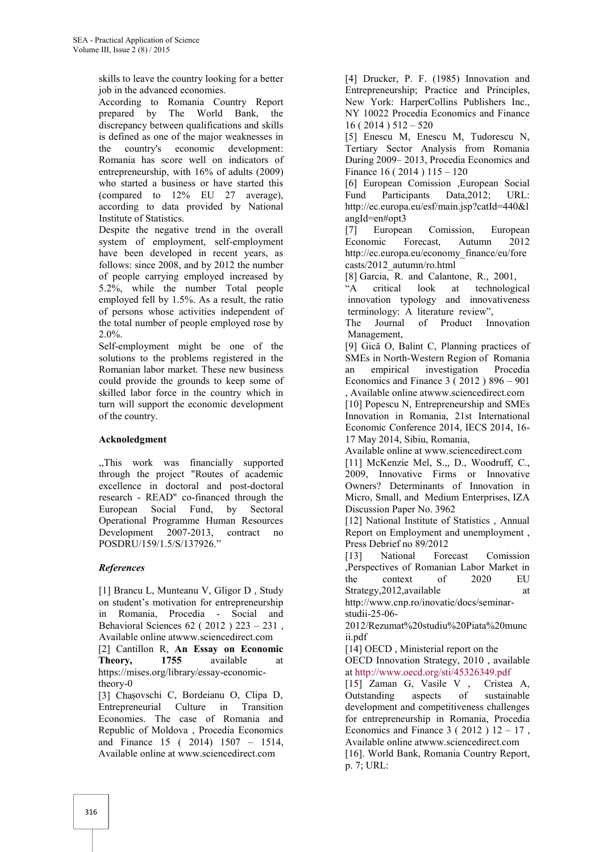skills to leave the country looking for a better job in the advanced economies.

According to Romania Country Report prepared by The World Bank, the discrepancy between qualifications and skills is defined as one of the major weaknesses in the country's economic development: Romania has score well on indicators of entrepreneurship, with 16% of adults (2009) who started a business or have started this (compared to 12% EU 27 average), according to data provided by National Institute of Statistics.

Despite the negative trend in the overall system of employment, self-employment have been developed in recent years, as follows: since 2008, and by 2012 the number of people carrying employed increased by 5.2%, while the number Total people employed fell by 1.5%. As a result, the ratio of persons whose activities independent of the total number of people employed rose by 2.0%.

Self-employment might be one of the solutions to the problems registered in the Romanian labor market. These new business could provide the grounds to keep some of skilled labor force in the country which in turn will support the economic development of the country.

# **Acknoledgment**

,,This work was financially supported through the project "Routes of academic excellence in doctoral and post-doctoral research - READ" co-financed through the European Social Fund, by Sectoral Operational Programme Human Resources Development 2007-2013, contract no POSDRU/159/1.5/S/137926."

# *References*

[1] Brancu L, Munteanu V, Gligor D , Study on student's motivation for entrepreneurship in Romania, Procedia - Social and Behavioral Sciences 62 ( 2012 ) 223 – 231 , Available online atwww.sciencedirect.com [2] Cantillon R, **An Essay on Economic Theory, 1755** available at https://mises.org/library/essay-economictheory-0 [3] Chașovschi C, Bordeianu O, Clipa D, Entrepreneurial Culture in Transition Economies. The case of Romania and Republic of Moldova , Procedia Economics

and Finance 15 ( 2014) 1507 – 1514, Available online at www.sciencedirect.com

[4] Drucker, P. F. (1985) Innovation and Entrepreneurship; Practice and Principles, New York: HarperCollins Publishers Inc., NY 10022 Procedia Economics and Finance 16 ( 2014 ) 512 – 520

[5] Enescu M, Enescu M, Tudorescu N, Tertiary Sector Analysis from Romania During 2009– 2013, Procedia Economics and Finance 16 ( 2014 ) 115 – 120

[6] European Comission ,European Social Fund Participants Data,2012; URL: http://ec.europa.eu/esf/main.jsp?catId=440&l angId=en#opt3

[7] European Comission, European Economic Forecast, Autumn 2012 http://ec.europa.eu/economy\_finance/eu/fore casts/2012\_autumn/ro.html

[8] Garcia, R. and Calantone, R., 2001, critical look at technological innovation typology and innovativeness terminology: A literature review",

The Journal of Product Innovation Management,

[9] Gică O, Balint C, Planning practices of SMEs in North-Western Region of Romania an empirical investigation Procedia Economics and Finance 3 ( 2012 ) 896 – 901 , Available online atwww.sciencedirect.com

[10] Popescu N, Entrepreneurship and SMEs Innovation in Romania, 21st International Economic Conference 2014, IECS 2014, 16- 17 May 2014, Sibiu, Romania,

Available online at www.sciencedirect.com

[11] McKenzie Mel, S.,, D., Woodruff, C., 2009, Innovative Firms or Innovative Owners? Determinants of Innovation in Micro, Small, and Medium Enterprises, IZA Discussion Paper No. 3962

[12] National Institute of Statistics , Annual Report on Employment and unemployment , Press Debrief no 89/2012

[13] National Forecast Comission ,Perspectives of Romanian Labor Market in the context of 2020 EU Strategy, 2012, available at

http://www.cnp.ro/inovatie/docs/seminar studii-25-06-

2012/Rezumat%20studiu%20Piata%20munc ii.pdf

[14] OECD, Ministerial report on the OECD Innovation Strategy, 2010 , available at http://www.oecd.org/sti/45326349.pdf

[15] Zaman G, Vasile V , Cristea A, Outstanding aspects of sustainable development and competitiveness challenges for entrepreneurship in Romania, Procedia Economics and Finance  $3(2012) 12 - 17$ , Available online atwww.sciencedirect.com [16]. World Bank, Romania Country Report, p. 7; URL: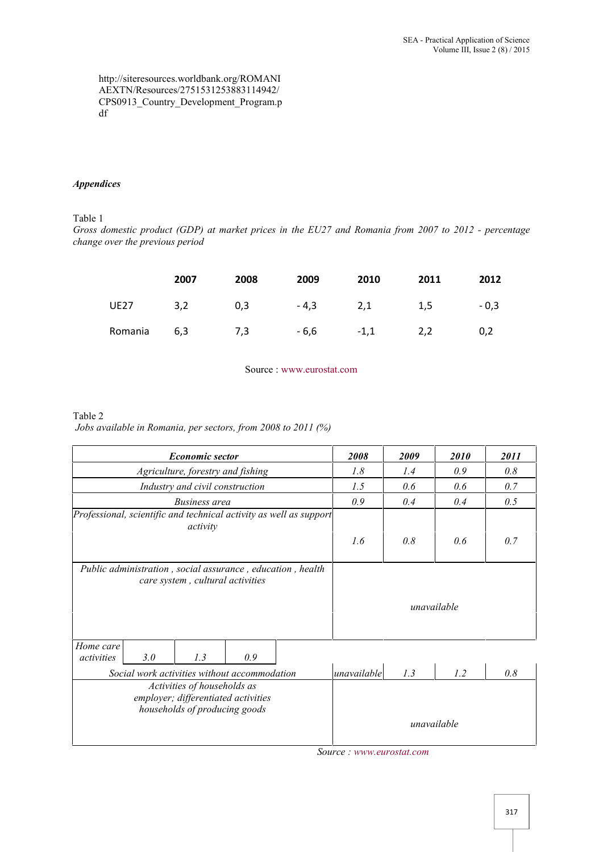http://siteresources.worldbank.org/ROMANI AEXTN/Resources/2751531253883114942/ CPS0913\_Country\_Development\_Program.p df

## *Appendices*

Table 1

*Gross domestic product (GDP) at market prices in the EU27 and Romania from 2007 to 2012 - percentage change over the previous period*

|             | 2007 | 2008 | 2009   | 2010   | 2011 | 2012   |
|-------------|------|------|--------|--------|------|--------|
| <b>UE27</b> | 3,2  | 0,3  | $-4,3$ | 2,1    | 1,5  | $-0.3$ |
| Romania 6,3 |      | 7,3  | - 6,6  | $-1,1$ | 2,2  | 0,2    |

Source : www.eurostat.com

## Table 2 *Jobs available in Romania, per sectors, from 2008 to 2011 (%)*

| <b>Economic sector</b>                                                                              | 2008        | 2009 | 2010        | 2011 |
|-----------------------------------------------------------------------------------------------------|-------------|------|-------------|------|
| Agriculture, forestry and fishing                                                                   | 1.8         | 1.4  | 0.9         | 0.8  |
| Industry and civil construction                                                                     | 1.5         | 0.6  | 0.6         | 0.7  |
| <b>Business</b> area                                                                                | 0.9         | 0.4  | 0.4         | 0.5  |
| Professional, scientific and technical activity as well as support<br>activity                      | 1.6         | 0.8  | 0.6         | 0.7  |
| Public administration, social assurance, education, health<br>care system, cultural activities      |             |      | unavailable |      |
| Home care<br>3.0<br>1.3<br>0.9<br>activities<br>Social work activities without accommodation        | unavailable | 1.3  | 1.2         | 0.8  |
| Activities of households as<br>employer; differentiated activities<br>households of producing goods |             |      |             |      |
|                                                                                                     |             |      | unavailable |      |

*Source : www.eurostat.com*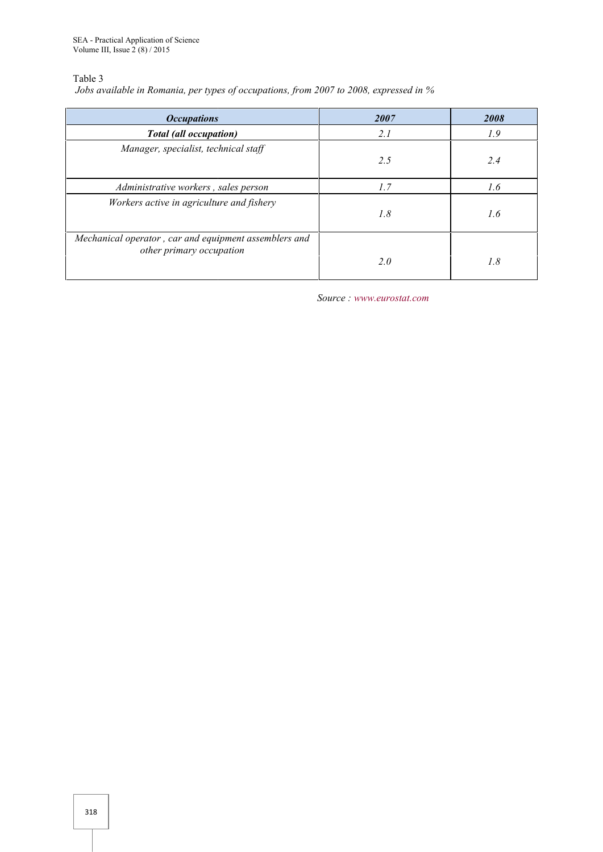Table 3

*Jobs available in Romania, per types of occupations, from 2007 to 2008, expressed in % per of occupations,* 

| <b>Occupations</b>                                                                | 2007 | 2008 |  |  |  |
|-----------------------------------------------------------------------------------|------|------|--|--|--|
| <b>Total</b> (all occupation)                                                     | 2.1  | 1.9  |  |  |  |
| Manager, specialist, technical staff                                              | 2.5  | 2.4  |  |  |  |
| Administrative workers, sales person                                              | 1.7  | 1.6  |  |  |  |
| Workers active in agriculture and fishery                                         | 1.8  | 1.6  |  |  |  |
| Mechanical operator, car and equipment assemblers and<br>other primary occupation | 2.0  | 1.8  |  |  |  |
| Source: www.eurostat.com                                                          |      |      |  |  |  |